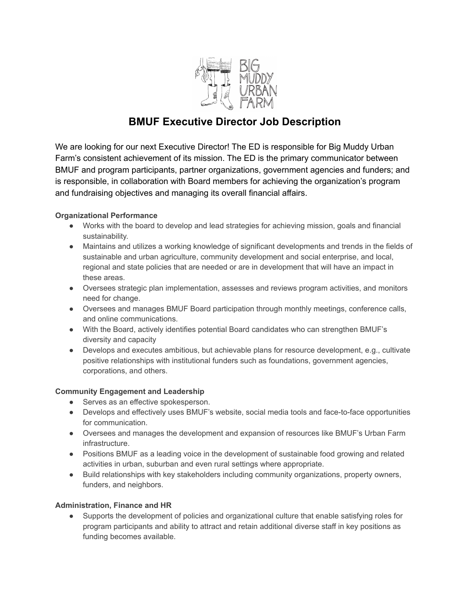

# **BMUF Executive Director Job Description**

We are looking for our next Executive Director! The ED is responsible for Big Muddy Urban Farm's consistent achievement of its mission. The ED is the primary communicator between BMUF and program participants, partner organizations, government agencies and funders; and is responsible, in collaboration with Board members for achieving the organization's program and fundraising objectives and managing its overall financial affairs.

# **Organizational Performance**

- Works with the board to develop and lead strategies for achieving mission, goals and financial sustainability.
- Maintains and utilizes a working knowledge of significant developments and trends in the fields of sustainable and urban agriculture, community development and social enterprise, and local, regional and state policies that are needed or are in development that will have an impact in these areas.
- Oversees strategic plan implementation, assesses and reviews program activities, and monitors need for change.
- Oversees and manages BMUF Board participation through monthly meetings, conference calls, and online communications.
- With the Board, actively identifies potential Board candidates who can strengthen BMUF's diversity and capacity
- Develops and executes ambitious, but achievable plans for resource development, e.g., cultivate positive relationships with institutional funders such as foundations, government agencies, corporations, and others.

## **Community Engagement and Leadership**

- Serves as an effective spokesperson.
- Develops and effectively uses BMUF's website, social media tools and face-to-face opportunities for communication.
- Oversees and manages the development and expansion of resources like BMUF's Urban Farm infrastructure.
- Positions BMUF as a leading voice in the development of sustainable food growing and related activities in urban, suburban and even rural settings where appropriate.
- Build relationships with key stakeholders including community organizations, property owners, funders, and neighbors.

## **Administration, Finance and HR**

● Supports the development of policies and organizational culture that enable satisfying roles for program participants and ability to attract and retain additional diverse staff in key positions as funding becomes available.